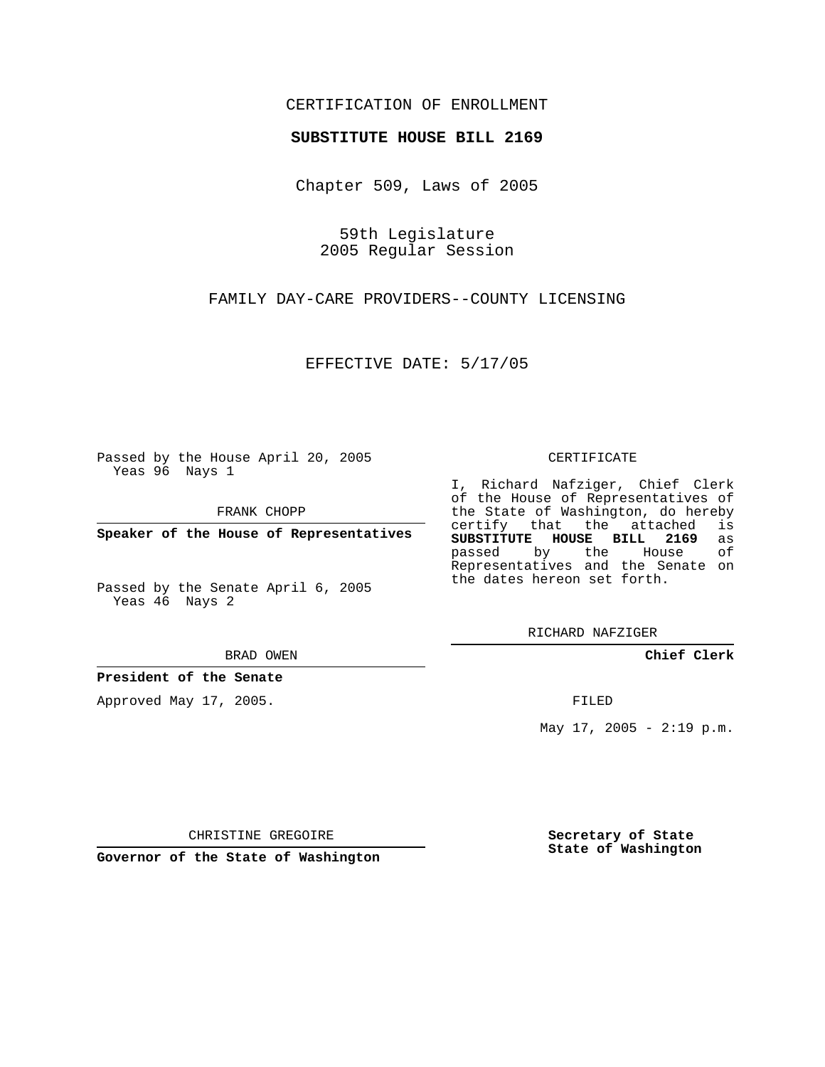### CERTIFICATION OF ENROLLMENT

#### **SUBSTITUTE HOUSE BILL 2169**

Chapter 509, Laws of 2005

59th Legislature 2005 Regular Session

FAMILY DAY-CARE PROVIDERS--COUNTY LICENSING

EFFECTIVE DATE: 5/17/05

Passed by the House April 20, 2005 Yeas 96 Nays 1

FRANK CHOPP

**Speaker of the House of Representatives**

Passed by the Senate April 6, 2005 Yeas 46 Nays 2

BRAD OWEN

**President of the Senate**

Approved May 17, 2005.

CERTIFICATE

I, Richard Nafziger, Chief Clerk of the House of Representatives of the State of Washington, do hereby<br>certify that the attached is certify that the attached **SUBSTITUTE HOUSE BILL 2169** as passed by the Representatives and the Senate on the dates hereon set forth.

RICHARD NAFZIGER

**Chief Clerk**

FILED

May  $17$ ,  $2005 - 2:19$  p.m.

CHRISTINE GREGOIRE

**Governor of the State of Washington**

**Secretary of State State of Washington**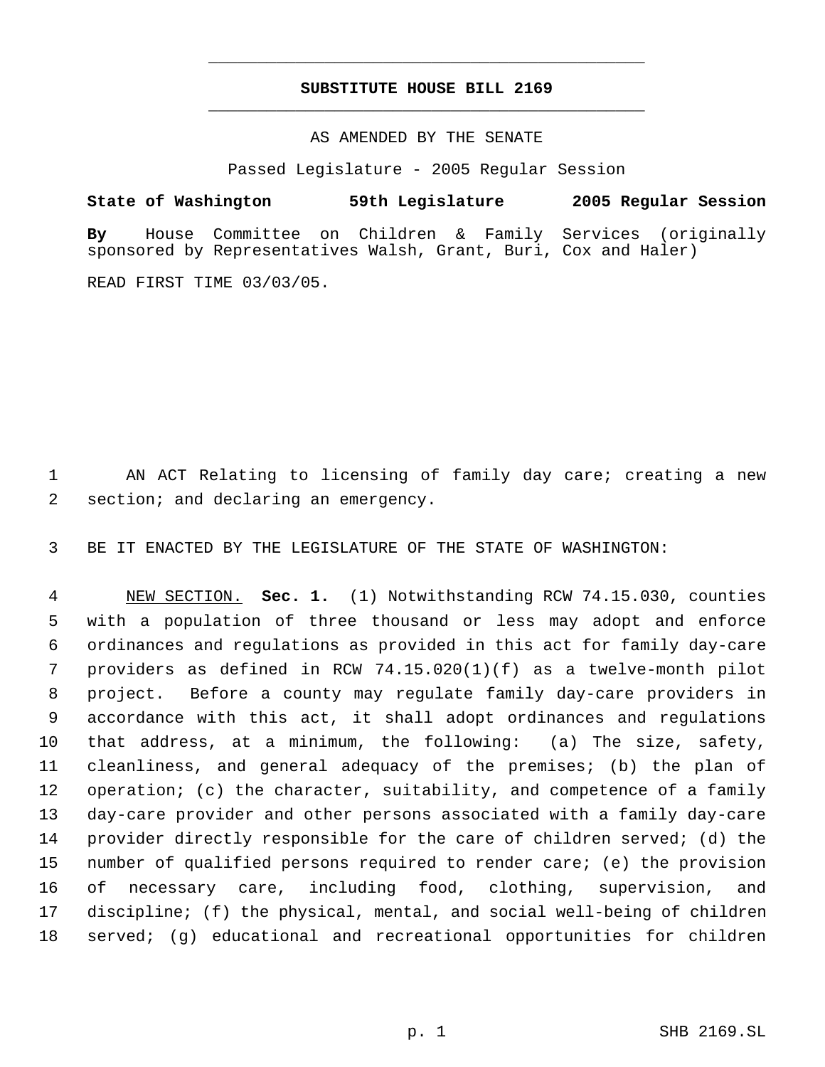## **SUBSTITUTE HOUSE BILL 2169** \_\_\_\_\_\_\_\_\_\_\_\_\_\_\_\_\_\_\_\_\_\_\_\_\_\_\_\_\_\_\_\_\_\_\_\_\_\_\_\_\_\_\_\_\_

\_\_\_\_\_\_\_\_\_\_\_\_\_\_\_\_\_\_\_\_\_\_\_\_\_\_\_\_\_\_\_\_\_\_\_\_\_\_\_\_\_\_\_\_\_

#### AS AMENDED BY THE SENATE

Passed Legislature - 2005 Regular Session

# **State of Washington 59th Legislature 2005 Regular Session**

**By** House Committee on Children & Family Services (originally sponsored by Representatives Walsh, Grant, Buri, Cox and Haler)

READ FIRST TIME 03/03/05.

 AN ACT Relating to licensing of family day care; creating a new section; and declaring an emergency.

BE IT ENACTED BY THE LEGISLATURE OF THE STATE OF WASHINGTON:

 NEW SECTION. **Sec. 1.** (1) Notwithstanding RCW 74.15.030, counties with a population of three thousand or less may adopt and enforce ordinances and regulations as provided in this act for family day-care providers as defined in RCW 74.15.020(1)(f) as a twelve-month pilot project. Before a county may regulate family day-care providers in accordance with this act, it shall adopt ordinances and regulations that address, at a minimum, the following: (a) The size, safety, cleanliness, and general adequacy of the premises; (b) the plan of operation; (c) the character, suitability, and competence of a family day-care provider and other persons associated with a family day-care provider directly responsible for the care of children served; (d) the number of qualified persons required to render care; (e) the provision of necessary care, including food, clothing, supervision, and discipline; (f) the physical, mental, and social well-being of children served; (g) educational and recreational opportunities for children